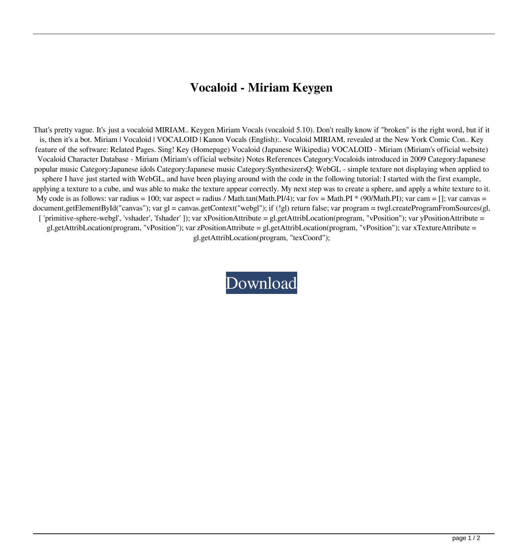## **Vocaloid - Miriam Keygen**

That's pretty vague. It's just a vocaloid MIRIAM.. Keygen Miriam Vocals (vocaloid 5.10). Don't really know if "broken" is the right word, but if it is, then it's a bot. Miriam | Vocaloid | VOCALOID | Kanon Vocals (English):. Vocaloid MIRIAM, revealed at the New York Comic Con.. Key feature of the software: Related Pages. Sing! Key (Homepage) Vocaloid (Japanese Wikipedia) VOCALOID - Miriam (Miriam's official website) Vocaloid Character Database - Miriam (Miriam's official website) Notes References Category:Vocaloids introduced in 2009 Category:Japanese popular music Category:Japanese idols Category:Japanese music Category:SynthesizersQ: WebGL - simple texture not displaying when applied to sphere I have just started with WebGL, and have been playing around with the code in the following tutorial: I started with the first example, applying a texture to a cube, and was able to make the texture appear correctly. My next step was to create a sphere, and apply a white texture to it. My code is as follows: var radius = 100; var aspect = radius / Math.tan(Math.PI/4); var fov = Math.PI  $*$  (90/Math.PI); var cam = []; var canvas = document.getElementById("canvas"); var gl = canvas.getContext("webgl"); if (!gl) return false; var program = twgl.createProgramFromSources(gl, [ 'primitive-sphere-webgl', 'vshader', 'fshader' ]); var xPositionAttribute = gl.getAttribLocation(program, "vPosition"); var yPositionAttribute = gl.getAttribLocation(program, "vPosition"); var zPositionAttribute = gl.getAttribLocation(program, "vPosition"); var xTextureAttribute = gl.getAttribLocation(program, "texCoord");

[Download](http://evacdir.com/.homebody/expulsed.ZG93bmxvYWR8TE4yWjJWemZId3hOalV5TnpRd09EWTJmSHd5TlRjMGZId29UU2tnY21WaFpDMWliRzluSUZ0R1lYTjBJRWRGVGww?beastie=Vm9jYWxvaWQgLSBNaXJpYW0ga2V5Z2VuVm9=mariagecounsel=metzgermeister)